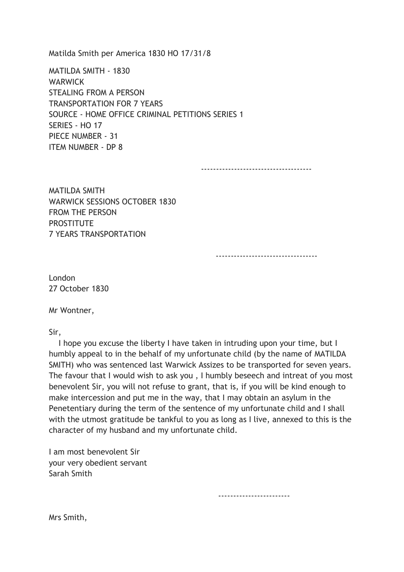Matilda Smith per America 1830 HO 17/31/8

MATILDA SMITH - 1830 **WARWICK** STEALING FROM A PERSON TRANSPORTATION FOR 7 YEARS SOURCE - HOME OFFICE CRIMINAL PETITIONS SERIES 1 SERIES - HO 17 PIECE NUMBER - 31 ITEM NUMBER - DP 8

-------------------------------------

MATILDA SMITH WARWICK SESSIONS OCTOBER 1830 FROM THE PERSON **PROSTITUTE** 7 YEARS TRANSPORTATION

----------------------------------

London 27 October 1830

Mr Wontner,

Sir,

 I hope you excuse the liberty I have taken in intruding upon your time, but I humbly appeal to in the behalf of my unfortunate child (by the name of MATILDA SMITH) who was sentenced last Warwick Assizes to be transported for seven years. The favour that I would wish to ask you , I humbly beseech and intreat of you most benevolent Sir, you will not refuse to grant, that is, if you will be kind enough to make intercession and put me in the way, that I may obtain an asylum in the Penetentiary during the term of the sentence of my unfortunate child and I shall with the utmost gratitude be tankful to you as long as I live, annexed to this is the character of my husband and my unfortunate child.

I am most benevolent Sir your very obedient servant Sarah Smith

------------------------

Mrs Smith,